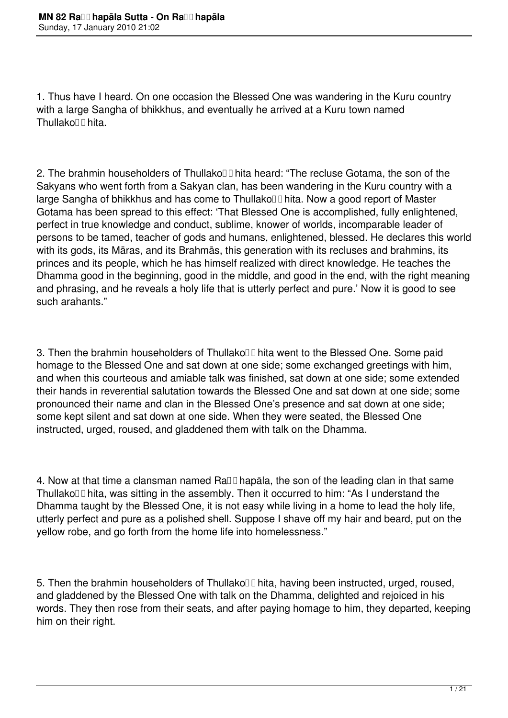1. Thus have I heard. On one occasion the Blessed One was wandering in the Kuru country with a large Sangha of bhikkhus, and eventually he arrived at a Kuru town named Thullako<sub>[1]</sub>hita.

2. The brahmin householders of Thullako**DD** hita heard: "The recluse Gotama, the son of the Sakyans who went forth from a Sakyan clan, has been wandering in the Kuru country with a large Sangha of bhikkhus and has come to Thullakol I hita. Now a good report of Master Gotama has been spread to this effect: 'That Blessed One is accomplished, fully enlightened, perfect in true knowledge and conduct, sublime, knower of worlds, incomparable leader of persons to be tamed, teacher of gods and humans, enlightened, blessed. He declares this world with its gods, its Māras, and its Brahmās, this generation with its recluses and brahmins, its princes and its people, which he has himself realized with direct knowledge. He teaches the Dhamma good in the beginning, good in the middle, and good in the end, with the right meaning and phrasing, and he reveals a holy life that is utterly perfect and pure.' Now it is good to see such arahants."

3. Then the brahmin householders of Thullako**DD** hita went to the Blessed One. Some paid homage to the Blessed One and sat down at one side; some exchanged greetings with him, and when this courteous and amiable talk was finished, sat down at one side; some extended their hands in reverential salutation towards the Blessed One and sat down at one side; some pronounced their name and clan in the Blessed One's presence and sat down at one side; some kept silent and sat down at one side. When they were seated, the Blessed One instructed, urged, roused, and gladdened them with talk on the Dhamma.

4. Now at that time a clansman named Ra $\Box$ hapāla, the son of the leading clan in that same Thullako $\Box$  hita, was sitting in the assembly. Then it occurred to him: "As I understand the Dhamma taught by the Blessed One, it is not easy while living in a home to lead the holy life, utterly perfect and pure as a polished shell. Suppose I shave off my hair and beard, put on the yellow robe, and go forth from the home life into homelessness."

5. Then the brahmin householders of Thullako $\Box$  hita, having been instructed, urged, roused, and gladdened by the Blessed One with talk on the Dhamma, delighted and rejoiced in his words. They then rose from their seats, and after paying homage to him, they departed, keeping him on their right.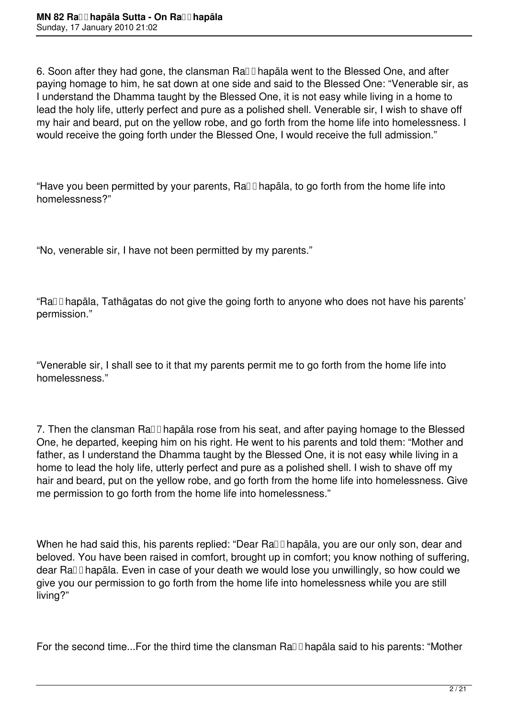6. Soon after they had gone, the clansman Ra $\Box\Box$  hapala went to the Blessed One, and after paying homage to him, he sat down at one side and said to the Blessed One: "Venerable sir, as I understand the Dhamma taught by the Blessed One, it is not easy while living in a home to lead the holy life, utterly perfect and pure as a polished shell. Venerable sir, I wish to shave off my hair and beard, put on the yellow robe, and go forth from the home life into homelessness. I would receive the going forth under the Blessed One, I would receive the full admission."

"Have you been permitted by your parents,  $Ra\Box\Box$  hapala, to go forth from the home life into homelessness?"

"No, venerable sir, I have not been permitted by my parents."

"Ra**II hapāla, Tathāgatas do not give the going** forth to anyone who does not have his parents' permission."

"Venerable sir, I shall see to it that my parents permit me to go forth from the home life into homelessness."

7. Then the clansman Ra $\Box$  hapala rose from his seat, and after paying homage to the Blessed One, he departed, keeping him on his right. He went to his parents and told them: "Mother and father, as I understand the Dhamma taught by the Blessed One, it is not easy while living in a home to lead the holy life, utterly perfect and pure as a polished shell. I wish to shave off my hair and beard, put on the yellow robe, and go forth from the home life into homelessness. Give me permission to go forth from the home life into homelessness."

When he had said this, his parents replied: "Dear Rall hapala, you are our only son, dear and beloved. You have been raised in comfort, brought up in comfort; you know nothing of suffering, dear Rall hapala. Even in case of your death we would lose you unwillingly, so how could we give you our permission to go forth from the home life into homelessness while you are still living?"

For the second time...For the third time the clansman Ra $\Box\Box$  hapala said to his parents: "Mother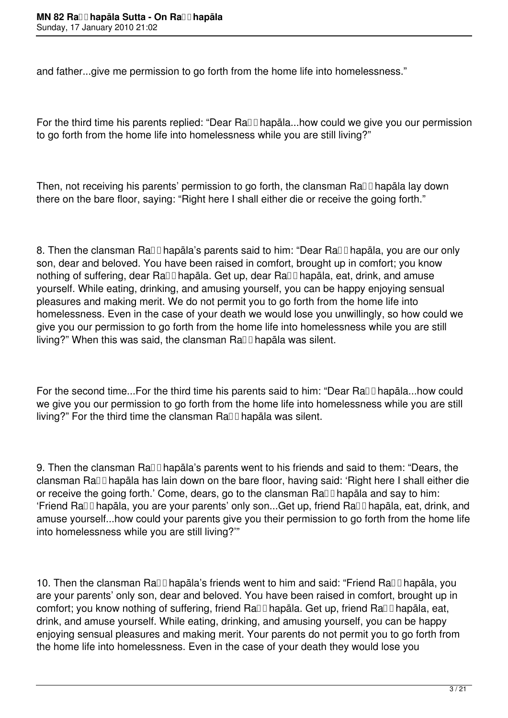and father...give me permission to go forth from the home life into homelessness."

For the third time his parents replied: "Dear Rall hapala...how could we give you our permission to go forth from the home life into homelessness while you are still living?"

Then, not receiving his parents' permission to go forth, the clansman Ra $\Box$  hapāla lay down there on the bare floor, saying: "Right here I shall either die or receive the going forth."

8. Then the clansman Ra**llhapāla's parents said to him: "Dear Ra**llhapāla, you are our only son, dear and beloved. You have been raised in comfort, brought up in comfort; you know nothing of suffering, dear Ra**llhapāla. Get up, dear Rallhapāla, eat, drink**, and amuse yourself. While eating, drinking, and amusing yourself, you can be happy enjoying sensual pleasures and making merit. We do not permit you to go forth from the home life into homelessness. Even in the case of your death we would lose you unwillingly, so how could we give you our permission to go forth from the home life into homelessness while you are still living?" When this was said, the clansman Rall hapala was silent.

For the second time...For the third time his parents said to him: "Dear Rall hapala...how could we give you our permission to go forth from the home life into homelessness while you are still living?" For the third time the clansman Rall hapala was silent.

9. Then the clansman Rall hapala's parents went to his friends and said to them: "Dears, the clansman Ra**ndhapala has lain down on the bare floor**, having said: 'Right here I shall either die or receive the going forth.' Come, dears, go to the clansman Rall hapala and say to him: 'Friend Ra**DD**hapāla, you are your parents' only son...Get up, friend RaDD hapāla, eat, drink, and amuse yourself...how could your parents give you their permission to go forth from the home life into homelessness while you are still living?'"

10. Then the clansman Ra**llhapāla's friends went to him and said:** "Friend Rallhapāla, you are your parents' only son, dear and beloved. You have been raised in comfort, brought up in comfort; you know nothing of suffering, friend Rall hapāla. Get up, friend Rall hapāla, eat, drink, and amuse yourself. While eating, drinking, and amusing yourself, you can be happy enjoying sensual pleasures and making merit. Your parents do not permit you to go forth from the home life into homelessness. Even in the case of your death they would lose you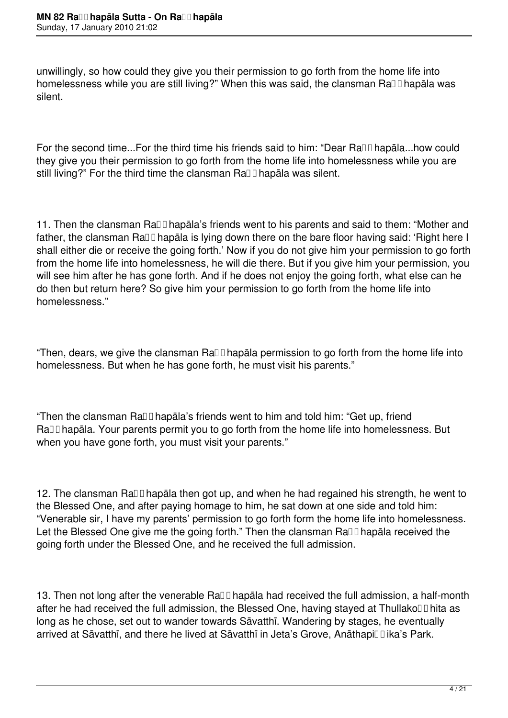unwillingly, so how could they give you their permission to go forth from the home life into homelessness while you are still living?" When this was said, the clansman Rall hapala was silent.

For the second time...For the third time his friends said to him: "Dear Rall hapala...how could they give you their permission to go forth from the home life into homelessness while you are still living?" For the third time the clansman Rall hapala was silent.

11. Then the clansman Ra $\Box\Box$  hapāla's friends went to his parents and said to them: "Mother and father, the clansman Ra $\Box$ hapāla is lying down there on the bare floor having said: 'Right here I shall either die or receive the going forth.' Now if you do not give him your permission to go forth from the home life into homelessness, he will die there. But if you give him your permission, you will see him after he has gone forth. And if he does not enjoy the going forth, what else can he do then but return here? So give him your permission to go forth from the home life into homelessness."

"Then, dears, we give the clansman Ra $\Box$  hapāla permission to go forth from the home life into homelessness. But when he has gone forth, he must visit his parents."

"Then the clansman Ra**llhapala's friends went to him and told** him: "Get up, friend Rall hapāla. Your parents permit you to go forth from the home life into homelessness. But when you have gone forth, you must visit your parents."

12. The clansman Ra $\Box$ hapāla then got up, and when he had regained his strength, he went to the Blessed One, and after paying homage to him, he sat down at one side and told him: "Venerable sir, I have my parents' permission to go forth form the home life into homelessness. Let the Blessed One give me the going forth." Then the clansman Rall hapala received the going forth under the Blessed One, and he received the full admission.

13. Then not long after the venerable  $Ra\Box$  hapala had received the full admission, a half-month after he had received the full admission, the Blessed One, having stayed at Thullakol I hita as long as he chose, set out to wander towards Sāvatthī. Wandering by stages, he eventually arrived at Sāvatthī, and there he lived at Sāvatthī in Jeta's Grove, Anāthapi**ū** ika's Park.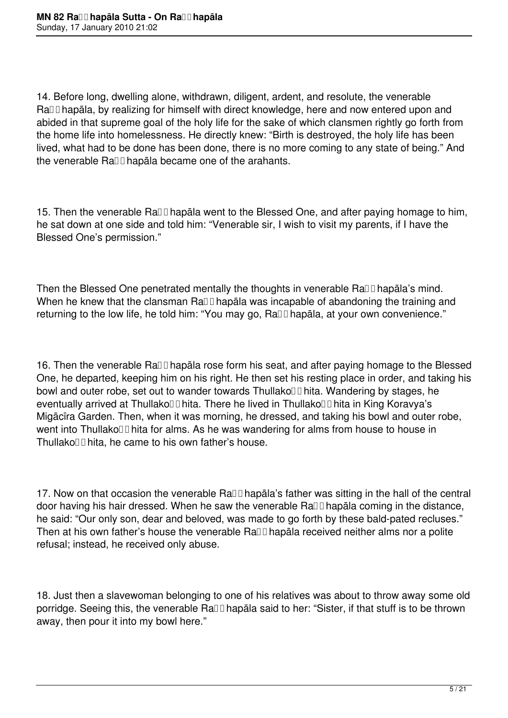14. Before long, dwelling alone, withdrawn, diligent, ardent, and resolute, the venerable Ra**[**] hapāla, by realizing for himself with direct knowledge, here and now entered upon and abided in that supreme goal of the holy life for the sake of which clansmen rightly go forth from the home life into homelessness. He directly knew: "Birth is destroyed, the holy life has been lived, what had to be done has been done, there is no more coming to any state of being." And the venerable Ra $\Box$ hapāla became one of the arahants.

15. Then the venerable Ra $\Box$  hapala went to the Blessed One, and after paying homage to him, he sat down at one side and told him: "Venerable sir, I wish to visit my parents, if I have the Blessed One's permission."

Then the Blessed One penetrated mentally the thoughts in venerable Ra $\Box$ I hapāla's mind. When he knew that the clansman Ra $\Box$  hapala was incapable of abandoning the training and returning to the low life, he told him: "You may go, Rall hapala, at your own convenience."

16. Then the venerable Ra $\Box\Box$  hapāla rose form his seat, and after paying homage to the Blessed One, he departed, keeping him on his right. He then set his resting place in order, and taking his bowl and outer robe, set out to wander towards Thullakoll hita. Wandering by stages, he eventually arrived at Thullakoll hita. There he lived in Thullakoll hita in King Koravya's Migācīra Garden. Then, when it was morning, he dressed, and taking his bowl and outer robe, went into Thullakoll hita for alms. As he was wandering for alms from house to house in Thullako $\Box$   $\Box$  hita, he came to his own father's house.

17. Now on that occasion the venerable Ra $\Box$  hapala's father was sitting in the hall of the central door having his hair dressed. When he saw the venerable Rall hapala coming in the distance, he said: "Our only son, dear and beloved, was made to go forth by these bald-pated recluses." Then at his own father's house the venerable Rall hapala received neither alms nor a polite refusal; instead, he received only abuse.

18. Just then a slavewoman belonging to one of his relatives was about to throw away some old porridge. Seeing this, the venerable Rall hapala said to her: "Sister, if that stuff is to be thrown away, then pour it into my bowl here."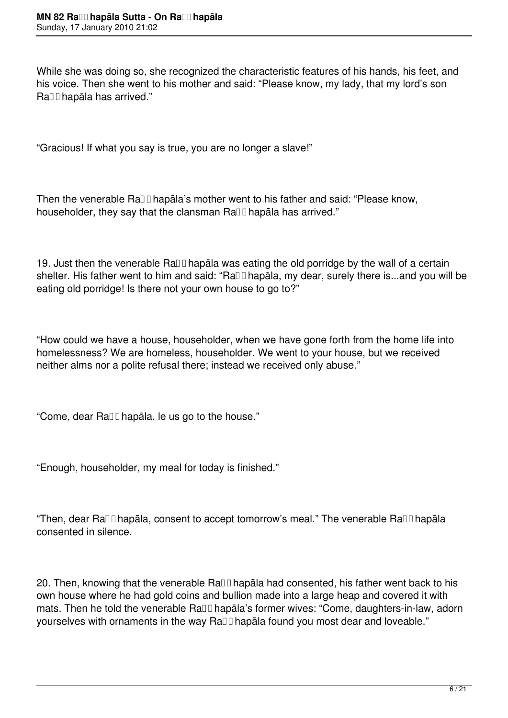While she was doing so, she recognized the characteristic features of his hands, his feet, and his voice. Then she went to his mother and said: "Please know, my lady, that my lord's son Rall hapāla has arrived."

"Gracious! If what you say is true, you are no longer a slave!"

Then the venerable Rall hapala's mother went to his father and said: "Please know, householder, they say that the clansman Rall hapala has arrived."

19. Just then the venerable Ra $\Box$  hapala was eating the old porridge by the wall of a certain shelter. His father went to him and said: "Ra**DD** hapala, my dear, surely there is...and you will be eating old porridge! Is there not your own house to go to?"

"How could we have a house, householder, when we have gone forth from the home life into homelessness? We are homeless, householder. We went to your house, but we received neither alms nor a polite refusal there; instead we received only abuse."

"Come, dear Rallhapāla, le us go to the house."

"Enough, householder, my meal for today is finished."

"Then, dear Ra**ūūhapāla, consent to accept tomorrow's meal**." The venerable Raūūhapāla consented in silence.

20. Then, knowing that the venerable Ra $\Box$ hapāla had consented, his father went back to his own house where he had gold coins and bullion made into a large heap and covered it with mats. Then he told the venerable Ra**ndhapāla's former wives: "Come, daughters-in-law**, adorn vourselves with ornaments in the way Ra $\Box$ hapāla found you most dear and loveable."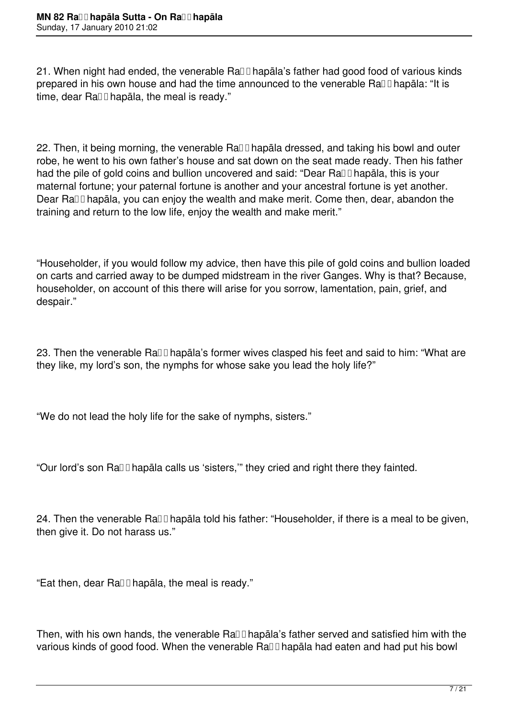21. When night had ended, the venerable Ra $\Box$ hapāla's father had good food of various kinds prepared in his own house and had the time announced to the venerable Ra $\Box$  hapala: "It is time, dear Rallhapāla, the meal is ready."

22. Then, it being morning, the venerable Ra $\Box$  hapala dressed, and taking his bowl and outer robe, he went to his own father's house and sat down on the seat made ready. Then his father had the pile of gold coins and bullion uncovered and said: "Dear Rall hapala, this is your maternal fortune; your paternal fortune is another and your ancestral fortune is yet another. Dear Ra $\Box$ hapāla, you can enjoy the wealth and make merit. Come then, dear, abandon the training and return to the low life, enjoy the wealth and make merit."

"Householder, if you would follow my advice, then have this pile of gold coins and bullion loaded on carts and carried away to be dumped midstream in the river Ganges. Why is that? Because, householder, on account of this there will arise for you sorrow, lamentation, pain, grief, and despair."

23. Then the venerable Rall hapala's former wives clasped his feet and said to him: "What are they like, my lord's son, the nymphs for whose sake you lead the holy life?"

"We do not lead the holy life for the sake of nymphs, sisters."

"Our lord's son Ra $\Box$ hapāla calls us 'sisters," they cried and right there they fainted.

24. Then the venerable Ra $\Box$  hapala told his father: "Householder, if there is a meal to be given, then give it. Do not harass us."

"Eat then, dear  $Ra \Box$  hapala, the meal is ready."

Then, with his own hands, the venerable Ra $\Box$  hapala's father served and satisfied him with the various kinds of good food. When the venerable Rall hapala had eaten and had put his bowl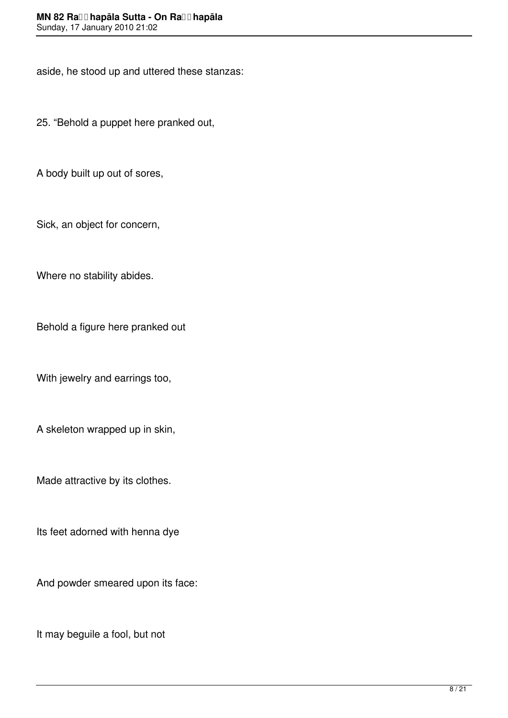aside, he stood up and uttered these stanzas:

25. "Behold a puppet here pranked out,

A body built up out of sores,

Sick, an object for concern,

Where no stability abides.

Behold a figure here pranked out

With jewelry and earrings too,

A skeleton wrapped up in skin,

Made attractive by its clothes.

Its feet adorned with henna dye

And powder smeared upon its face:

It may beguile a fool, but not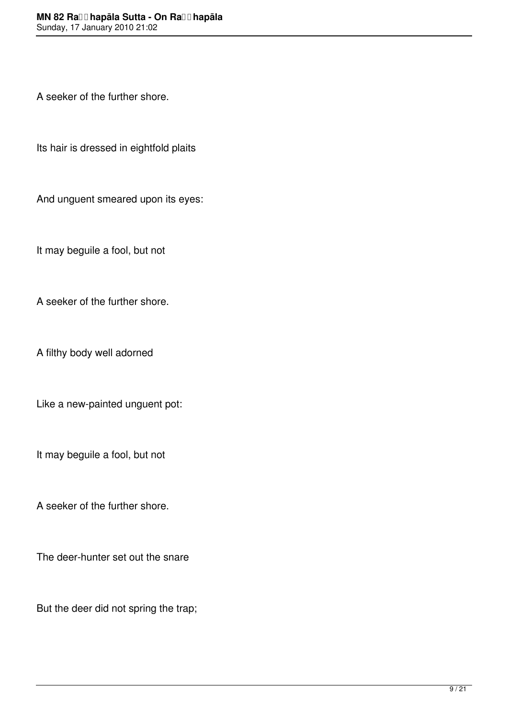A seeker of the further shore.

Its hair is dressed in eightfold plaits

And unguent smeared upon its eyes:

It may beguile a fool, but not

A seeker of the further shore.

A filthy body well adorned

Like a new-painted unguent pot:

It may beguile a fool, but not

A seeker of the further shore.

The deer-hunter set out the snare

But the deer did not spring the trap;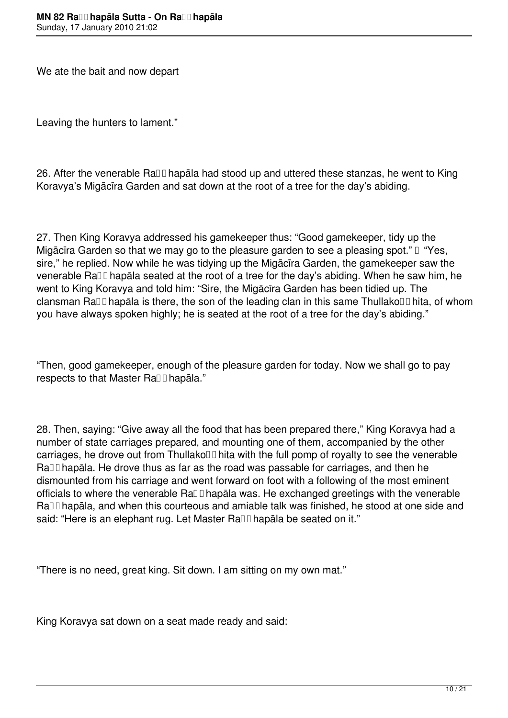We ate the bait and now depart

Leaving the hunters to lament."

26. After the venerable Ra $\Box$  hapala had stood up and uttered these stanzas, he went to King Koravya's Migācīra Garden and sat down at the root of a tree for the day's abiding.

27. Then King Koravya addressed his gamekeeper thus: "Good gamekeeper, tidy up the Migācīra Garden so that we may go to the pleasure garden to see a pleasing spot."  $\Box$  "Yes, sire," he replied. Now while he was tidying up the Migācīra Garden, the gamekeeper saw the venerable Rall hapala seated at the root of a tree for the day's abiding. When he saw him, he went to King Koravya and told him: "Sire, the Migācīra Garden has been tidied up. The clansman Ra $\Box$  hapāla is there, the son of the leading clan in this same Thullako $\Box$  hita, of whom you have always spoken highly; he is seated at the root of a tree for the day's abiding."

"Then, good gamekeeper, enough of the pleasure garden for today. Now we shall go to pay respects to that Master Rall hapala."

28. Then, saying: "Give away all the food that has been prepared there," King Koravya had a number of state carriages prepared, and mounting one of them, accompanied by the other carriages, he drove out from Thullako**DD** hita with the full pomp of royalty to see the venerable  $Ra\Box$  hapāla. He drove thus as far as the road was passable for carriages, and then he dismounted from his carriage and went forward on foot with a following of the most eminent officials to where the venerable Rall hapala was. He exchanged greetings with the venerable Ra**II** hapāla, and when this courteous and amiable talk was finished, he stood at one side and said: "Here is an elephant rug. Let Master Rall hapāla be seated on it."

"There is no need, great king. Sit down. I am sitting on my own mat."

King Koravya sat down on a seat made ready and said: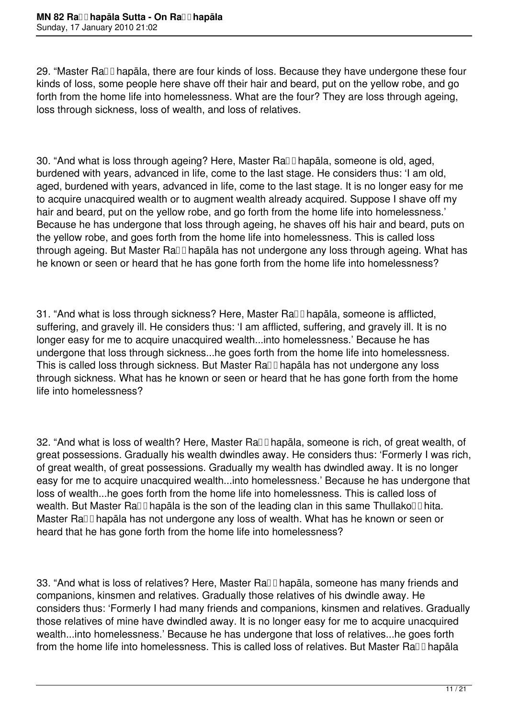29. "Master Rall hapala, there are four kinds of loss. Because they have undergone these four kinds of loss, some people here shave off their hair and beard, put on the yellow robe, and go forth from the home life into homelessness. What are the four? They are loss through ageing, loss through sickness, loss of wealth, and loss of relatives.

30. "And what is loss through ageing? Here, Master Rall hapala, someone is old, aged, burdened with years, advanced in life, come to the last stage. He considers thus: 'I am old, aged, burdened with years, advanced in life, come to the last stage. It is no longer easy for me to acquire unacquired wealth or to augment wealth already acquired. Suppose I shave off my hair and beard, put on the yellow robe, and go forth from the home life into homelessness.' Because he has undergone that loss through ageing, he shaves off his hair and beard, puts on the yellow robe, and goes forth from the home life into homelessness. This is called loss through ageing. But Master Ra<sub>[1]</sub> hapāla has not undergone any loss through ageing. What has he known or seen or heard that he has gone forth from the home life into homelessness?

31. "And what is loss through sickness? Here, Master Rall hapala, someone is afflicted, suffering, and gravely ill. He considers thus: 'I am afflicted, suffering, and gravely ill. It is no longer easy for me to acquire unacquired wealth...into homelessness.' Because he has undergone that loss through sickness...he goes forth from the home life into homelessness. This is called loss through sickness. But Master Rall hapala has not undergone any loss through sickness. What has he known or seen or heard that he has gone forth from the home life into homelessness?

32. "And what is loss of wealth? Here, Master Rall hapala, someone is rich, of great wealth, of great possessions. Gradually his wealth dwindles away. He considers thus: 'Formerly I was rich, of great wealth, of great possessions. Gradually my wealth has dwindled away. It is no longer easy for me to acquire unacquired wealth...into homelessness.' Because he has undergone that loss of wealth...he goes forth from the home life into homelessness. This is called loss of wealth. But Master Ra $\Box$ hapāla is the son of the leading clan in this same Thullako $\Box$  hita. Master Ra<sub>[1</sub>] hapāla has not undergone any loss of wealth. What has he known or seen or heard that he has gone forth from the home life into homelessness?

33. "And what is loss of relatives? Here, Master Rall hapala, someone has many friends and companions, kinsmen and relatives. Gradually those relatives of his dwindle away. He considers thus: 'Formerly I had many friends and companions, kinsmen and relatives. Gradually those relatives of mine have dwindled away. It is no longer easy for me to acquire unacquired wealth...into homelessness.' Because he has undergone that loss of relatives...he goes forth from the home life into homelessness. This is called loss of relatives. But Master Rall hapala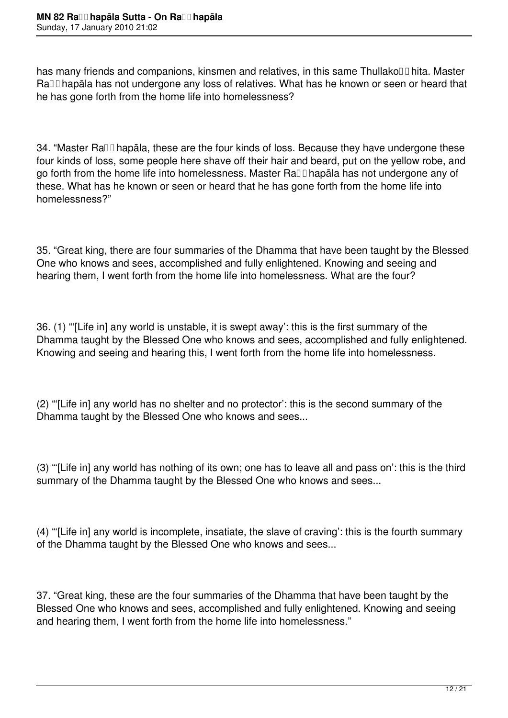has many friends and companions, kinsmen and relatives, in this same Thullako**DD** hita. Master Ra**n** hapala has not undergone any loss of relatives. What has he known or seen or heard that he has gone forth from the home life into homelessness?

34. "Master Rall hapala, these are the four kinds of loss. Because they have undergone these four kinds of loss, some people here shave off their hair and beard, put on the yellow robe, and go forth from the home life into homelessness. Master Ra**ndhapala has not undergone any of** these. What has he known or seen or heard that he has gone forth from the home life into homelessness?"

35. "Great king, there are four summaries of the Dhamma that have been taught by the Blessed One who knows and sees, accomplished and fully enlightened. Knowing and seeing and hearing them, I went forth from the home life into homelessness. What are the four?

36. (1) "'[Life in] any world is unstable, it is swept away': this is the first summary of the Dhamma taught by the Blessed One who knows and sees, accomplished and fully enlightened. Knowing and seeing and hearing this, I went forth from the home life into homelessness.

(2) "'[Life in] any world has no shelter and no protector': this is the second summary of the Dhamma taught by the Blessed One who knows and sees...

(3) "'[Life in] any world has nothing of its own; one has to leave all and pass on': this is the third summary of the Dhamma taught by the Blessed One who knows and sees...

(4) "'[Life in] any world is incomplete, insatiate, the slave of craving': this is the fourth summary of the Dhamma taught by the Blessed One who knows and sees...

37. "Great king, these are the four summaries of the Dhamma that have been taught by the Blessed One who knows and sees, accomplished and fully enlightened. Knowing and seeing and hearing them, I went forth from the home life into homelessness."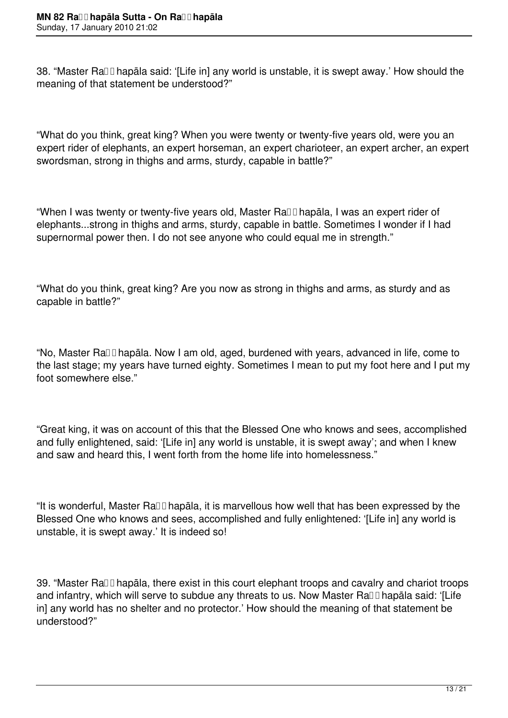38. "Master Rall hapala said: '[Life in] any world is unstable, it is swept away.' How should the meaning of that statement be understood?"

"What do you think, great king? When you were twenty or twenty-five years old, were you an expert rider of elephants, an expert horseman, an expert charioteer, an expert archer, an expert swordsman, strong in thighs and arms, sturdy, capable in battle?"

"When I was twenty or twenty-five years old, Master Ra**ndhapala, I was an expert rider of** elephants...strong in thighs and arms, sturdy, capable in battle. Sometimes I wonder if I had supernormal power then. I do not see anyone who could equal me in strength."

"What do you think, great king? Are you now as strong in thighs and arms, as sturdy and as capable in battle?"

"No, Master Ra $\Box$ hapāla. Now I am old, aged, burdened with years, advanced in life, come to the last stage; my years have turned eighty. Sometimes I mean to put my foot here and I put my foot somewhere else."

"Great king, it was on account of this that the Blessed One who knows and sees, accomplished and fully enlightened, said: '[Life in] any world is unstable, it is swept away'; and when I knew and saw and heard this, I went forth from the home life into homelessness."

"It is wonderful, Master Ra $\Box$  hapāla, it is marvellous how well that has been expressed by the Blessed One who knows and sees, accomplished and fully enlightened: '[Life in] any world is unstable, it is swept away.' It is indeed so!

39. "Master Rall hapala, there exist in this court elephant troops and cavalry and chariot troops and infantry, which will serve to subdue any threats to us. Now Master Rall hapala said: '[Life in] any world has no shelter and no protector.' How should the meaning of that statement be understood?"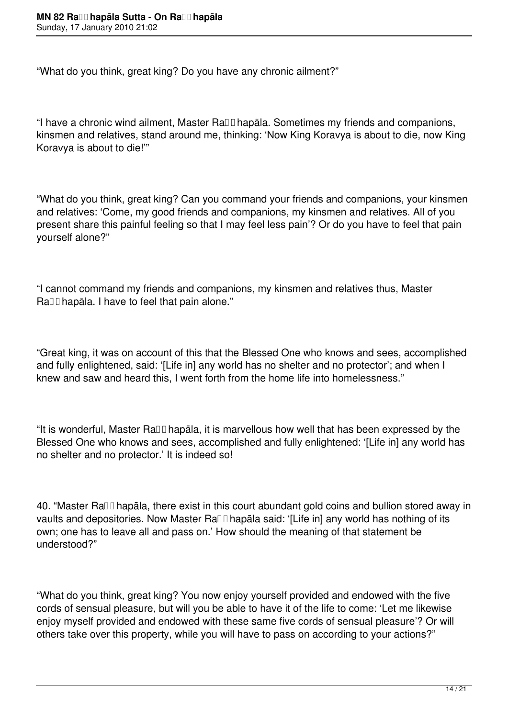"What do you think, great king? Do you have any chronic ailment?"

"I have a chronic wind ailment, Master Ra**DD** hapala. Sometimes my friends and companions, kinsmen and relatives, stand around me, thinking: 'Now King Koravya is about to die, now King Koravya is about to die!'"

"What do you think, great king? Can you command your friends and companions, your kinsmen and relatives: 'Come, my good friends and companions, my kinsmen and relatives. All of you present share this painful feeling so that I may feel less pain'? Or do you have to feel that pain yourself alone?"

"I cannot command my friends and companions, my kinsmen and relatives thus, Master Rall hapāla. I have to feel that pain alone."

"Great king, it was on account of this that the Blessed One who knows and sees, accomplished and fully enlightened, said: '[Life in] any world has no shelter and no protector'; and when I knew and saw and heard this, I went forth from the home life into homelessness."

"It is wonderful, Master Ra $\Box$  hapāla, it is marvellous how well that has been expressed by the Blessed One who knows and sees, accomplished and fully enlightened: '[Life in] any world has no shelter and no protector.' It is indeed so!

40. "Master Rall hapala, there exist in this court abundant gold coins and bullion stored away in vaults and depositories. Now Master Ra**ndhapala said: '[Life in] any world has nothing of its** own; one has to leave all and pass on.' How should the meaning of that statement be understood?"

"What do you think, great king? You now enjoy yourself provided and endowed with the five cords of sensual pleasure, but will you be able to have it of the life to come: 'Let me likewise enjoy myself provided and endowed with these same five cords of sensual pleasure'? Or will others take over this property, while you will have to pass on according to your actions?"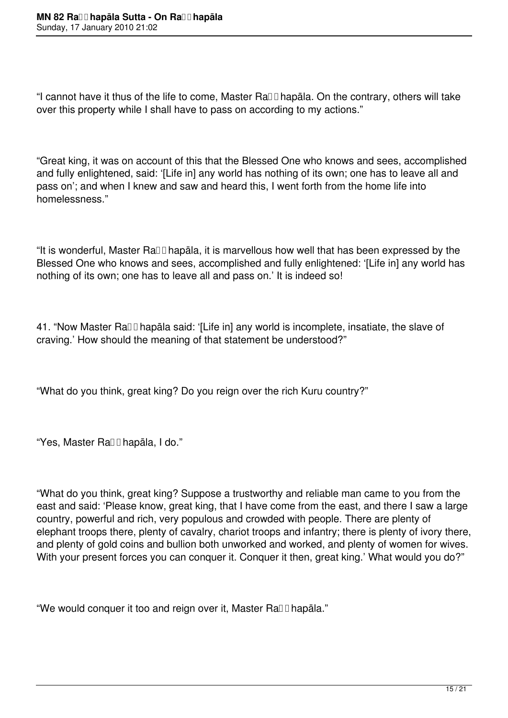"I cannot have it thus of the life to come, Master Rall hapala. On the contrary, others will take over this property while I shall have to pass on according to my actions."

"Great king, it was on account of this that the Blessed One who knows and sees, accomplished and fully enlightened, said: '[Life in] any world has nothing of its own; one has to leave all and pass on'; and when I knew and saw and heard this, I went forth from the home life into homelessness."

"It is wonderful, Master Ra $\Box$  hapāla, it is marvellous how well that has been expressed by the Blessed One who knows and sees, accomplished and fully enlightened: '[Life in] any world has nothing of its own; one has to leave all and pass on.' It is indeed so!

41. "Now Master Rall hapala said: '[Life in] any world is incomplete, insatiate, the slave of craving.' How should the meaning of that statement be understood?"

"What do you think, great king? Do you reign over the rich Kuru country?"

"Yes, Master Rallhapāla, I do."

"What do you think, great king? Suppose a trustworthy and reliable man came to you from the east and said: 'Please know, great king, that I have come from the east, and there I saw a large country, powerful and rich, very populous and crowded with people. There are plenty of elephant troops there, plenty of cavalry, chariot troops and infantry; there is plenty of ivory there, and plenty of gold coins and bullion both unworked and worked, and plenty of women for wives. With your present forces you can conquer it. Conquer it then, great king.' What would you do?"

"We would conquer it too and reign over it, Master Rall hapala."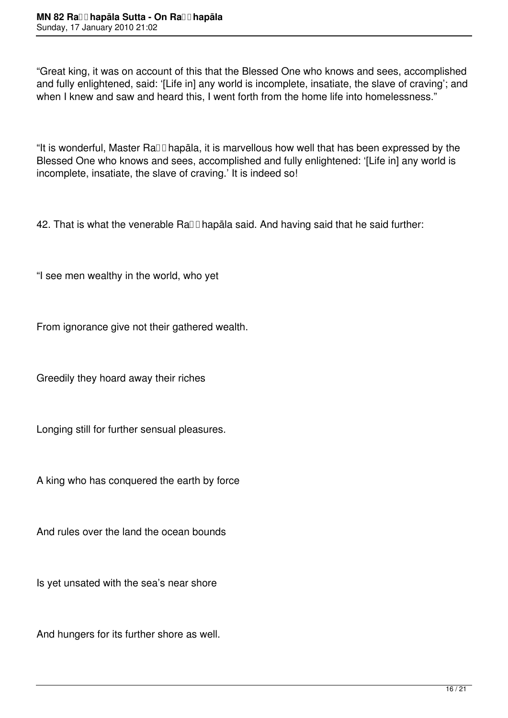"Great king, it was on account of this that the Blessed One who knows and sees, accomplished and fully enlightened, said: '[Life in] any world is incomplete, insatiate, the slave of craving'; and when I knew and saw and heard this, I went forth from the home life into homelessness."

"It is wonderful, Master Ra $\Box$  hapāla, it is marvellous how well that has been expressed by the Blessed One who knows and sees, accomplished and fully enlightened: '[Life in] any world is incomplete, insatiate, the slave of craving.' It is indeed so!

42. That is what the venerable Ra $\Box$  hapala said. And having said that he said further:

"I see men wealthy in the world, who yet

From ignorance give not their gathered wealth.

Greedily they hoard away their riches

Longing still for further sensual pleasures.

A king who has conquered the earth by force

And rules over the land the ocean bounds

Is yet unsated with the sea's near shore

And hungers for its further shore as well.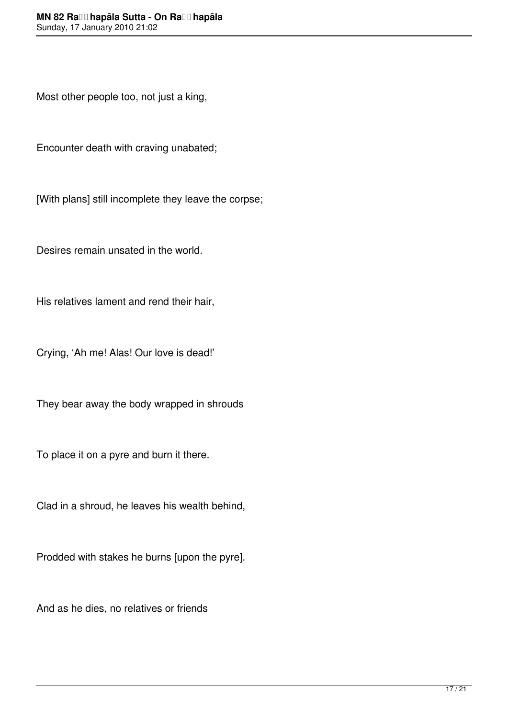Most other people too, not just a king,

Encounter death with craving unabated;

[With plans] still incomplete they leave the corpse;

Desires remain unsated in the world.

His relatives lament and rend their hair,

Crying, 'Ah me! Alas! Our love is dead!'

They bear away the body wrapped in shrouds

To place it on a pyre and burn it there.

Clad in a shroud, he leaves his wealth behind,

Prodded with stakes he burns [upon the pyre].

And as he dies, no relatives or friends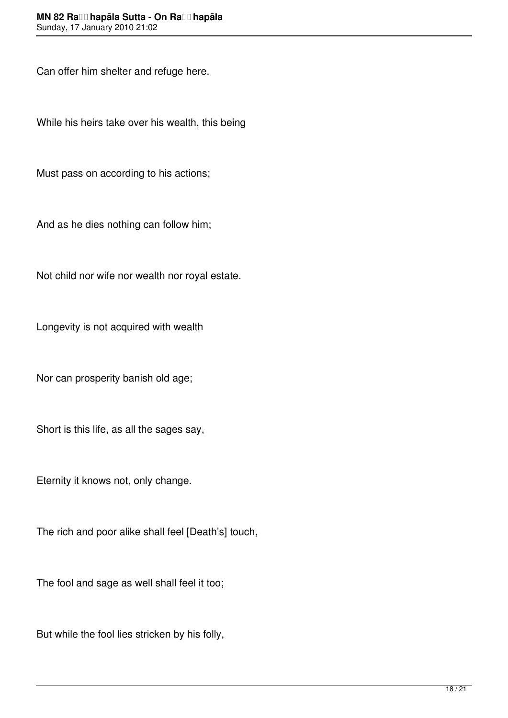Can offer him shelter and refuge here.

While his heirs take over his wealth, this being

Must pass on according to his actions;

And as he dies nothing can follow him;

Not child nor wife nor wealth nor royal estate.

Longevity is not acquired with wealth

Nor can prosperity banish old age;

Short is this life, as all the sages say,

Eternity it knows not, only change.

The rich and poor alike shall feel [Death's] touch,

The fool and sage as well shall feel it too;

But while the fool lies stricken by his folly,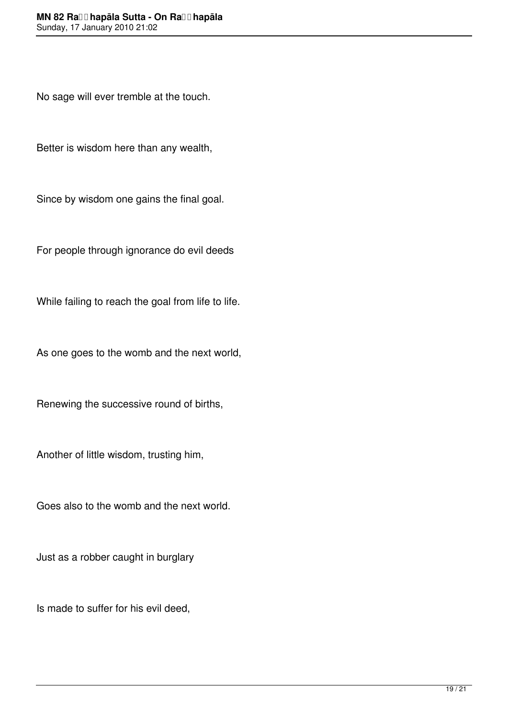No sage will ever tremble at the touch.

Better is wisdom here than any wealth,

Since by wisdom one gains the final goal.

For people through ignorance do evil deeds

While failing to reach the goal from life to life.

As one goes to the womb and the next world,

Renewing the successive round of births,

Another of little wisdom, trusting him,

Goes also to the womb and the next world.

Just as a robber caught in burglary

Is made to suffer for his evil deed,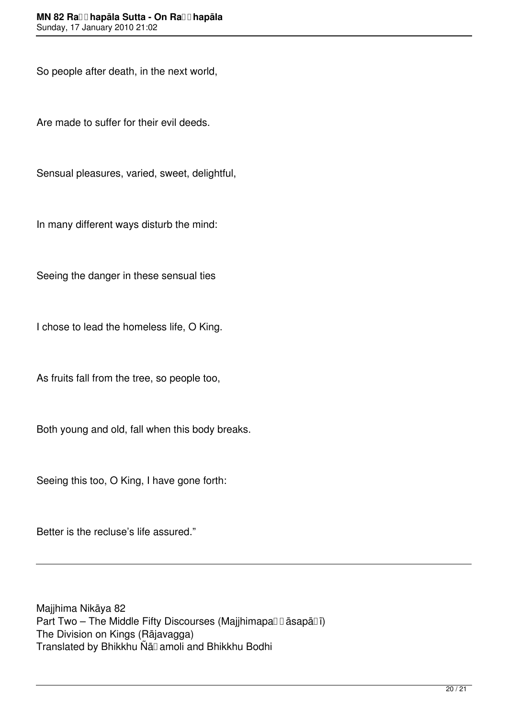So people after death, in the next world,

Are made to suffer for their evil deeds.

Sensual pleasures, varied, sweet, delightful,

In many different ways disturb the mind:

Seeing the danger in these sensual ties

I chose to lead the homeless life, O King.

As fruits fall from the tree, so people too,

Both young and old, fall when this body breaks.

Seeing this too, O King, I have gone forth:

Better is the recluse's life assured."

Majjhima Nikāya 82 Part Two – The Middle Fifty Discourses (Majjhimapall Lasapalli) The Division on Kings (Rājavagga) Translated by Bhikkhu Ñānamoli and Bhikkhu Bodhi